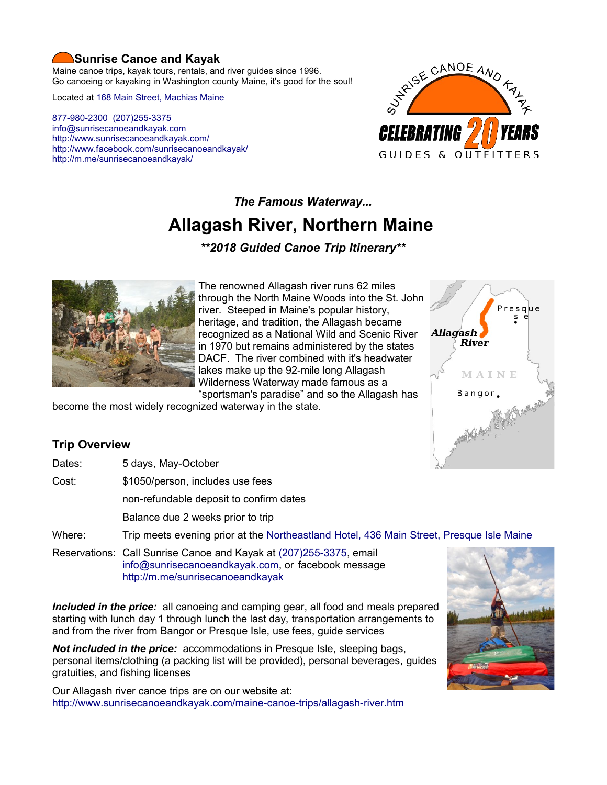## **Sunrise Canoe and Kayak**

Maine canoe trips, kayak tours, rentals, and river guides since 1996. Go canoeing or kayaking in Washington county Maine, it's good for the soul!

Located at [168 Main Street, Machias Maine](https://www.google.com/maps/place/Sunrise+Canoe+and+Kayak/@44.7213453,-67.4499306,520m/data=!3m2!1e3!4b1!4m5!3m4!1s0x4ca8cddc0180f8e7:0x696322ccd6ce6621!8m2!3d44.7213415!4d-67.4477419?hl=en)

[877-980-2300](tel:+1-877-980-2300) [\(207\)255-3375](tel:+1-207-255-3375) [info@sunrisecanoeandkayak.com](mailto:info@sunrisecanoeandkayak.com) <http://www.sunrisecanoeandkayak.com/> [http://www.facebook.com/sunrisecanoeandkayak/](https://www.facebook.com/sunrisecanoeandkayak/) <http://m.me/sunrisecanoeandkayak/>



## *The Famous Waterway...*

# **Allagash River, Northern Maine**

*\*\*2018 Guided Canoe Trip Itinerary\*\**



The renowned Allagash river runs 62 miles through the North Maine Woods into the St. John river. Steeped in Maine's popular history, heritage, and tradition, the Allagash became recognized as a National Wild and Scenic River in 1970 but remains administered by the states DACF. The river combined with it's headwater lakes make up the 92-mile long Allagash Wilderness Waterway made famous as a

"sportsman's paradise" and so the Allagash has become the most widely recognized waterway in the state.



## **Trip Overview**

Dates: 5 days, May-October

Cost: \$1050/person, includes use fees

non-refundable deposit to confirm dates

Balance due 2 weeks prior to trip

Where: Trip meets evening prior at the [Northeastland Hotel, 436 Main Street, Presque Isle Maine](https://www.google.com/maps/place/The+Northeastland+Hotel/@46.6805543,-68.0172943,502m/data=!3m2!1e3!4b1!4m5!3m4!1s0x4cbcaef3d822d52d:0x16d952ce954d0000!8m2!3d46.6805506!4d-68.0151056?hl=en)

Reservations: Call Sunrise Canoe and Kayak at [\(207\)255-3375,](tel:+1-207-255-3375) email [info@sunrisecanoeandkayak.com,](mailto:info@sunrisecanoeandkayak.com) or facebook message <http://m.me/sunrisecanoeandkayak>

*Included in the price:* all canoeing and camping gear, all food and meals prepared starting with lunch day 1 through lunch the last day, transportation arrangements to and from the river from Bangor or Presque Isle, use fees, guide services

*Not included in the price:* accommodations in Presque Isle, sleeping bags, personal items/clothing (a packing list will be provided), personal beverages, guides gratuities, and fishing licenses

Our Allagash river canoe trips are on our website at: <http://www.sunrisecanoeandkayak.com/maine-canoe-trips/allagash-river.htm>

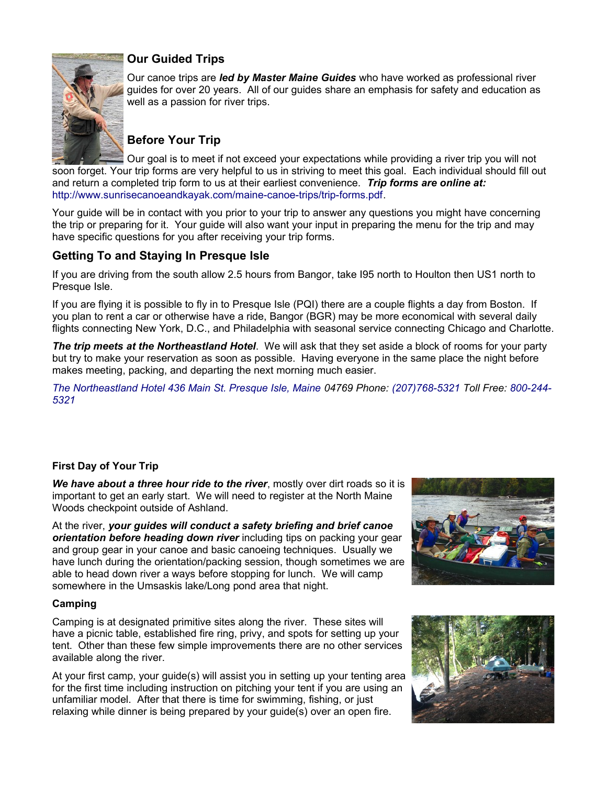

## **Our Guided Trips**

Our canoe trips are *led by Master Maine Guides* who have worked as professional river guides for over 20 years. All of our guides share an emphasis for safety and education as well as a passion for river trips.

## **Before Your Trip**

Our goal is to meet if not exceed your expectations while providing a river trip you will not soon forget. Your trip forms are very helpful to us in striving to meet this goal. Each individual should fill out and return a completed trip form to us at their earliest convenience. *Trip forms are online at:* [http://www.sunrisecanoeandkayak.com/maine-canoe-trips/trip-forms.pdf.](http://www.sunrisecanoeandkayak.com/maine-canoe-trips/trip-forms.pdf)

Your guide will be in contact with you prior to your trip to answer any questions you might have concerning the trip or preparing for it. Your guide will also want your input in preparing the menu for the trip and may have specific questions for you after receiving your trip forms.

## **Getting To and Staying In Presque Isle**

If you are driving from the south allow 2.5 hours from Bangor, take I95 north to Houlton then US1 north to Presque Isle.

If you are flying it is possible to fly in to Presque Isle (PQI) there are a couple flights a day from Boston. If you plan to rent a car or otherwise have a ride, Bangor (BGR) may be more economical with several daily flights connecting New York, D.C., and Philadelphia with seasonal service connecting Chicago and Charlotte.

*The trip meets at the Northeastland Hotel*. We will ask that they set aside a block of rooms for your party but try to make your reservation as soon as possible. Having everyone in the same place the night before makes meeting, packing, and departing the next morning much easier.

*[The Northeastland Hotel 436 Main St. Presque Isle, Maine](https://www.google.com/maps/place/The+Northeastland+Hotel/@46.6805543,-68.0172943,502m/data=!3m2!1e3!4b1!4m5!3m4!1s0x4cbcaef3d822d52d:0x16d952ce954d0000!8m2!3d46.6805506!4d-68.0151056?hl=en) 04769 Phone: [\(207\)768-5321](tel:+1-207-768-5321) Toll Free: [800-244-](tel:+1-800-244-5321) [5321](tel:+1-800-244-5321)*

### **First Day of Your Trip**

*We have about a three hour ride to the river*, mostly over dirt roads so it is important to get an early start. We will need to register at the North Maine Woods checkpoint outside of Ashland.

At the river, *your guides will conduct a safety briefing and brief canoe orientation before heading down river* including tips on packing your gear and group gear in your canoe and basic canoeing techniques. Usually we have lunch during the orientation/packing session, though sometimes we are able to head down river a ways before stopping for lunch. We will camp somewhere in the Umsaskis lake/Long pond area that night.

#### **Camping**

Camping is at designated primitive sites along the river. These sites will have a picnic table, established fire ring, privy, and spots for setting up your tent. Other than these few simple improvements there are no other services available along the river.

At your first camp, your guide(s) will assist you in setting up your tenting area for the first time including instruction on pitching your tent if you are using an unfamiliar model. After that there is time for swimming, fishing, or just relaxing while dinner is being prepared by your guide(s) over an open fire.